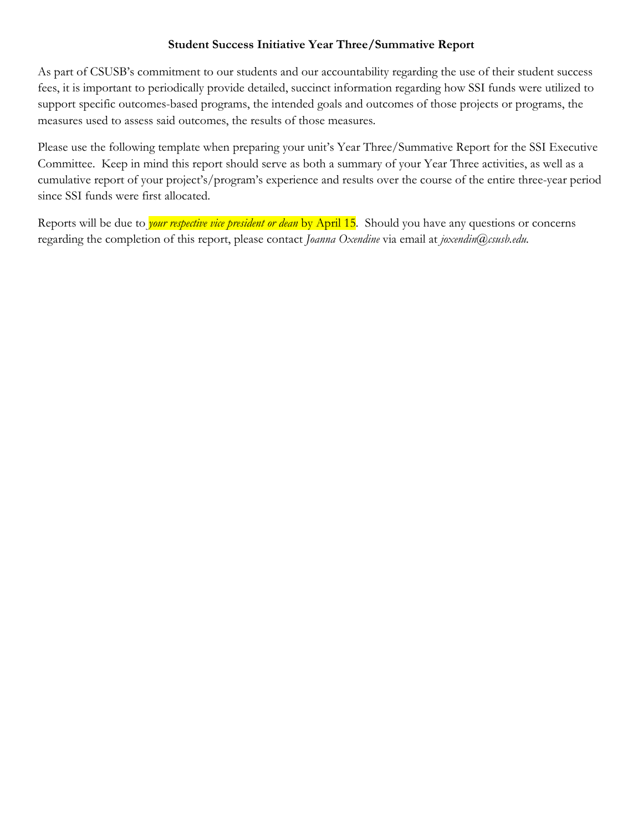## **Student Success Initiative Year Three/Summative Report**

As part of CSUSB's commitment to our students and our accountability regarding the use of their student success fees, it is important to periodically provide detailed, succinct information regarding how SSI funds were utilized to support specific outcomes-based programs, the intended goals and outcomes of those projects or programs, the measures used to assess said outcomes, the results of those measures.

Please use the following template when preparing your unit's Year Three/Summative Report for the SSI Executive Committee. Keep in mind this report should serve as both a summary of your Year Three activities, as well as a cumulative report of your project's/program's experience and results over the course of the entire three-year period since SSI funds were first allocated.

Reports will be due to *your respective vice president or dean* by April 15*.* Should you have any questions or concerns regarding the completion of this report, please contact *Joanna Oxendine* via email at *joxendin@csusb.edu.*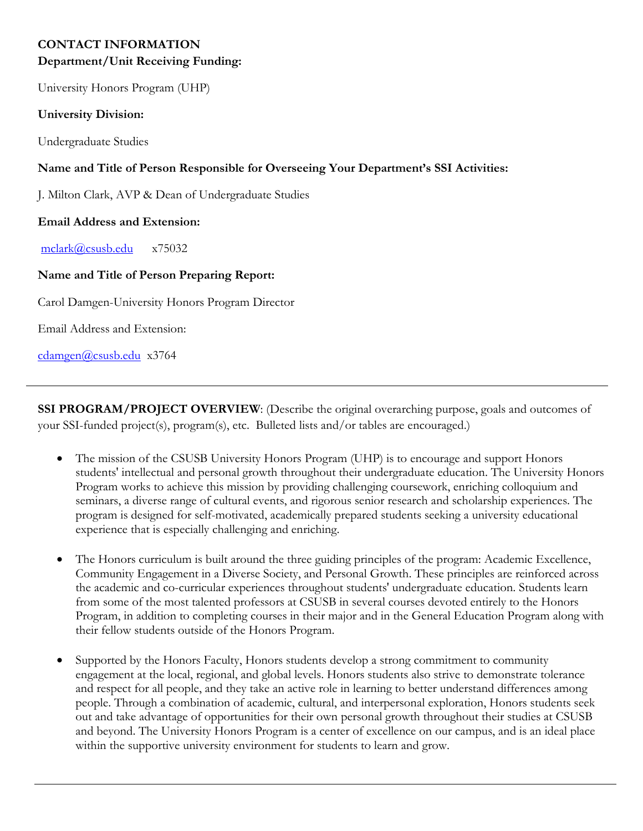# **CONTACT INFORMATION Department/Unit Receiving Funding:**

University Honors Program (UHP)

#### **University Division:**

Undergraduate Studies

#### **Name and Title of Person Responsible for Overseeing Your Department's SSI Activities:**

J. Milton Clark, AVP & Dean of Undergraduate Studies

#### **Email Address and Extension:**

[mclark@csusb.edu](https://exchange.csusb.edu/owa/redir.aspx?C=p91dJktzJEWexYu_TeEA3_HYGbaHL9EI_vNQEk-cO1x3uUSRDLPOg7TE5T2QhUikVOJMmcpWOx0.&URL=mailto%3amclark%40csusb.edu) x75032

#### **Name and Title of Person Preparing Report:**

Carol Damgen-University Honors Program Director

Email Address and Extension:

[cdamgen@csusb.edu](mailto:cdamgen@csusb.edu) x3764

**SSI PROGRAM/PROJECT OVERVIEW**: (Describe the original overarching purpose, goals and outcomes of your SSI-funded project(s), program(s), etc. Bulleted lists and/or tables are encouraged.)

- The mission of the CSUSB University Honors Program (UHP) is to encourage and support Honors students' intellectual and personal growth throughout their undergraduate education. The University Honors Program works to achieve this mission by providing challenging coursework, enriching colloquium and seminars, a diverse range of cultural events, and rigorous senior research and scholarship experiences. The program is designed for self-motivated, academically prepared students seeking a university educational experience that is especially challenging and enriching.
- The Honors curriculum is built around the three guiding principles of the program: Academic Excellence, Community Engagement in a Diverse Society, and Personal Growth. These principles are reinforced across the academic and co-curricular experiences throughout students' undergraduate education. Students learn from some of the most talented professors at CSUSB in several courses devoted entirely to the Honors Program, in addition to completing courses in their major and in the General Education Program along with their fellow students outside of the Honors Program.
- Supported by the Honors Faculty, Honors students develop a strong commitment to community engagement at the local, regional, and global levels. Honors students also strive to demonstrate tolerance and respect for all people, and they take an active role in learning to better understand differences among people. Through a combination of academic, cultural, and interpersonal exploration, Honors students seek out and take advantage of opportunities for their own personal growth throughout their studies at CSUSB and beyond. The University Honors Program is a center of excellence on our campus, and is an ideal place within the supportive university environment for students to learn and grow.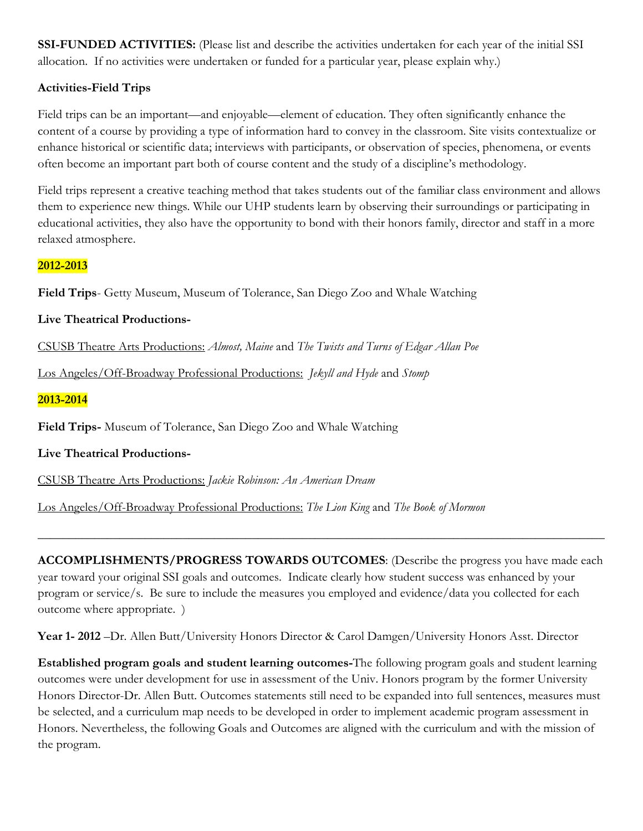**SSI-FUNDED ACTIVITIES:** (Please list and describe the activities undertaken for each year of the initial SSI allocation. If no activities were undertaken or funded for a particular year, please explain why.)

# **Activities-Field Trips**

Field trips can be an important—and enjoyable—element of education. They often significantly enhance the content of a course by providing a type of information hard to convey in the classroom. Site visits contextualize or enhance historical or scientific data; interviews with participants, or observation of species, phenomena, or events often become an important part both of course content and the study of a discipline's methodology.

Field trips represent a creative teaching method that takes students out of the familiar class environment and allows them to experience new things. While our UHP students learn by observing their surroundings or participating in educational activities, they also have the opportunity to bond with their honors family, director and staff in a more relaxed atmosphere.

### **2012-2013**

**Field Trips**- Getty Museum, Museum of Tolerance, San Diego Zoo and Whale Watching

### **Live Theatrical Productions-**

CSUSB Theatre Arts Productions: *Almost, Maine* and *The Twists and Turns of Edgar Allan Poe* 

Los Angeles/Off-Broadway Professional Productions:*Jekyll and Hyde* and *Stomp*

**2013-2014**

**Field Trips-** Museum of Tolerance, San Diego Zoo and Whale Watching

# **Live Theatrical Productions-**

CSUSB Theatre Arts Productions: *Jackie Robinson: An American Dream* 

Los Angeles/Off-Broadway Professional Productions: *The Lion King* and *The Book of Mormon*

**ACCOMPLISHMENTS/PROGRESS TOWARDS OUTCOMES**: (Describe the progress you have made each year toward your original SSI goals and outcomes. Indicate clearly how student success was enhanced by your program or service/s. Be sure to include the measures you employed and evidence/data you collected for each outcome where appropriate. )

 $\_$  , and the contribution of the contribution of  $\mathcal{L}$  , and  $\mathcal{L}$  , and  $\mathcal{L}$  , and  $\mathcal{L}$  , and  $\mathcal{L}$ 

**Year 1- 2012** –Dr. Allen Butt/University Honors Director & Carol Damgen/University Honors Asst. Director

**Established program goals and student learning outcomes-**The following program goals and student learning outcomes were under development for use in assessment of the Univ. Honors program by the former University Honors Director-Dr. Allen Butt. Outcomes statements still need to be expanded into full sentences, measures must be selected, and a curriculum map needs to be developed in order to implement academic program assessment in Honors. Nevertheless, the following Goals and Outcomes are aligned with the curriculum and with the mission of the program.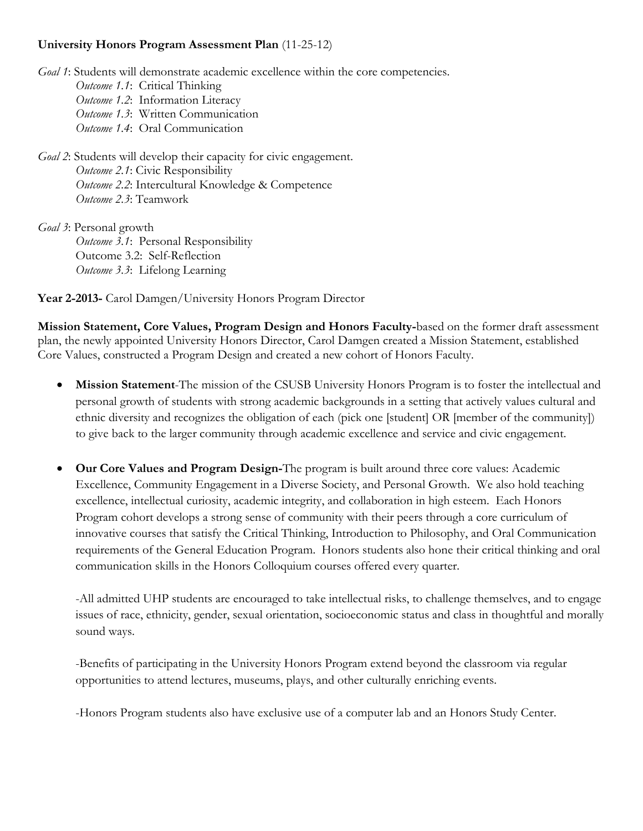#### **University Honors Program Assessment Plan** (11-25-12)

*Goal 1*: Students will demonstrate academic excellence within the core competencies. *Outcome 1.1*: Critical Thinking *Outcome 1.2*: Information Literacy *Outcome 1.3*: Written Communication *Outcome 1.4*: Oral Communication *Goal 2*: Students will develop their capacity for civic engagement.

 *Outcome 2.1*: Civic Responsibility *Outcome 2.2*: Intercultural Knowledge & Competence *Outcome 2.3*: Teamwork

*Goal 3*: Personal growth *Outcome 3.1*: Personal Responsibility Outcome 3.2: Self-Reflection *Outcome 3.3*: Lifelong Learning

**Year 2-2013-** Carol Damgen/University Honors Program Director

**Mission Statement, Core Values, Program Design and Honors Faculty-**based on the former draft assessment plan, the newly appointed University Honors Director, Carol Damgen created a Mission Statement, established Core Values, constructed a Program Design and created a new cohort of Honors Faculty.

- **Mission Statement**-The mission of the CSUSB University Honors Program is to foster the intellectual and personal growth of students with strong academic backgrounds in a setting that actively values cultural and ethnic diversity and recognizes the obligation of each (pick one [student] OR [member of the community]) to give back to the larger community through academic excellence and service and civic engagement.
- **Our Core Values and Program Design-**The program is built around three core values: Academic Excellence, Community Engagement in a Diverse Society, and Personal Growth. We also hold teaching excellence, intellectual curiosity, academic integrity, and collaboration in high esteem. Each Honors Program cohort develops a strong sense of community with their peers through a core curriculum of innovative courses that satisfy the Critical Thinking, Introduction to Philosophy, and Oral Communication requirements of the General Education Program. Honors students also hone their critical thinking and oral communication skills in the Honors Colloquium courses offered every quarter.

-All admitted UHP students are encouraged to take intellectual risks, to challenge themselves, and to engage issues of race, ethnicity, gender, sexual orientation, socioeconomic status and class in thoughtful and morally sound ways.

-Benefits of participating in the University Honors Program extend beyond the classroom via regular opportunities to attend lectures, museums, plays, and other culturally enriching events.

-Honors Program students also have exclusive use of a computer lab and an Honors Study Center.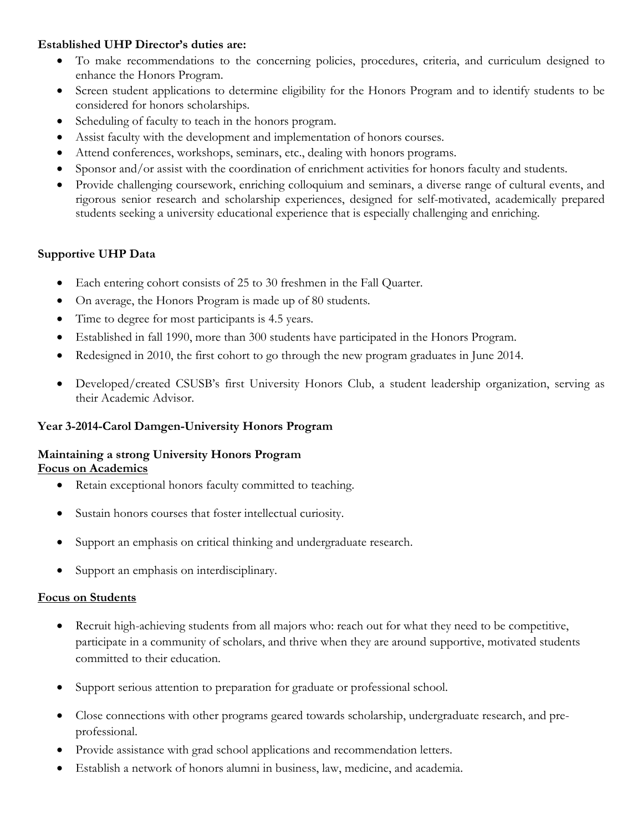#### **Established UHP Director's duties are:**

- To make recommendations to the concerning policies, procedures, criteria, and curriculum designed to enhance the Honors Program.
- Screen student applications to determine eligibility for the Honors Program and to identify students to be considered for honors scholarships.
- Scheduling of faculty to teach in the honors program.
- Assist faculty with the development and implementation of honors courses.
- Attend conferences, workshops, seminars, etc., dealing with honors programs.
- Sponsor and/or assist with the coordination of enrichment activities for honors faculty and students.
- Provide challenging coursework, enriching colloquium and seminars, a diverse range of cultural events, and rigorous senior research and scholarship experiences, designed for self-motivated, academically prepared students seeking a university educational experience that is especially challenging and enriching.

### **Supportive UHP Data**

- Each entering cohort consists of 25 to 30 freshmen in the Fall Quarter.
- On average, the Honors Program is made up of 80 students.
- Time to degree for most participants is 4.5 years.
- Established in fall 1990, more than 300 students have participated in the Honors Program.
- Redesigned in 2010, the first cohort to go through the new program graduates in June 2014.
- Developed/created CSUSB's first University Honors Club, a student leadership organization, serving as their Academic Advisor.

### **Year 3-2014-Carol Damgen-University Honors Program**

#### **Maintaining a strong University Honors Program Focus on Academics**

- Retain exceptional honors faculty committed to teaching.
- Sustain honors courses that foster intellectual curiosity.
- Support an emphasis on critical thinking and undergraduate research.
- Support an emphasis on interdisciplinary.

### **Focus on Students**

- Recruit high-achieving students from all majors who: reach out for what they need to be competitive, participate in a community of scholars, and thrive when they are around supportive, motivated students committed to their education.
- Support serious attention to preparation for graduate or professional school.
- Close connections with other programs geared towards scholarship, undergraduate research, and preprofessional.
- Provide assistance with grad school applications and recommendation letters.
- Establish a network of honors alumni in business, law, medicine, and academia.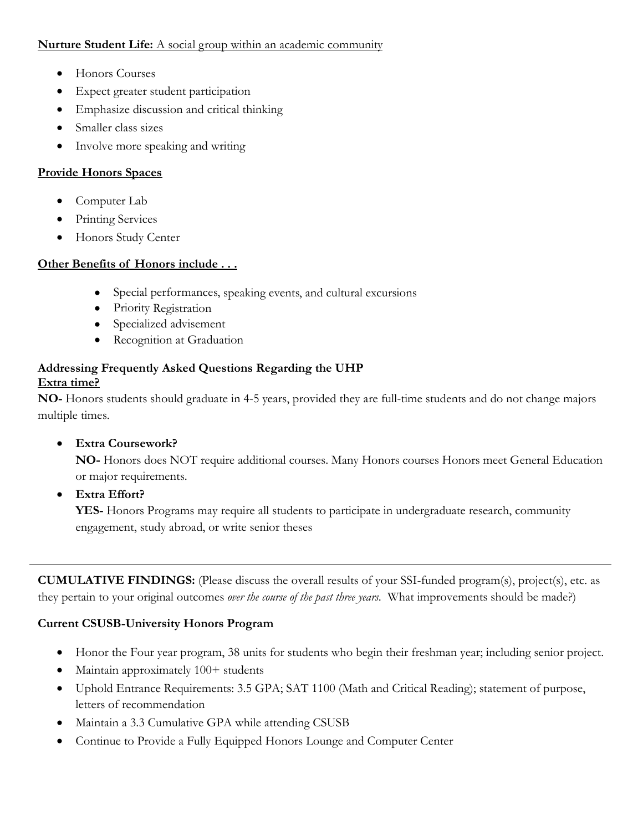# **Nurture Student Life:** A social group within an academic community

- Honors Courses
- Expect greater student participation
- Emphasize discussion and critical thinking
- Smaller class sizes
- Involve more speaking and writing

# **Provide Honors Spaces**

- Computer Lab
- **Printing Services**
- Honors Study Center

# **Other Benefits of Honors include . . .**

- Special performances, speaking events, and cultural excursions
- Priority Registration
- Specialized advisement
- Recognition at Graduation

# **Addressing Frequently Asked Questions Regarding the UHP Extra time?**

**NO-** Honors students should graduate in 4-5 years, provided they are full-time students and do not change majors multiple times.

### • **Extra Coursework?**

**NO-** Honors does NOT require additional courses. Many Honors courses Honors meet General Education or major requirements.

• **Extra Effort?**

**YES-** Honors Programs may require all students to participate in undergraduate research, community engagement, study abroad, or write senior theses

**CUMULATIVE FINDINGS:** (Please discuss the overall results of your SSI-funded program(s), project(s), etc. as they pertain to your original outcomes *over the course of the past three years*. What improvements should be made?)

# **Current CSUSB-University Honors Program**

- Honor the Four year program, 38 units for students who begin their freshman year; including senior project.
- Maintain approximately 100+ students
- Uphold Entrance Requirements: 3.5 GPA; SAT 1100 (Math and Critical Reading); statement of purpose, letters of recommendation
- Maintain a 3.3 Cumulative GPA while attending CSUSB
- Continue to Provide a Fully Equipped Honors Lounge and Computer Center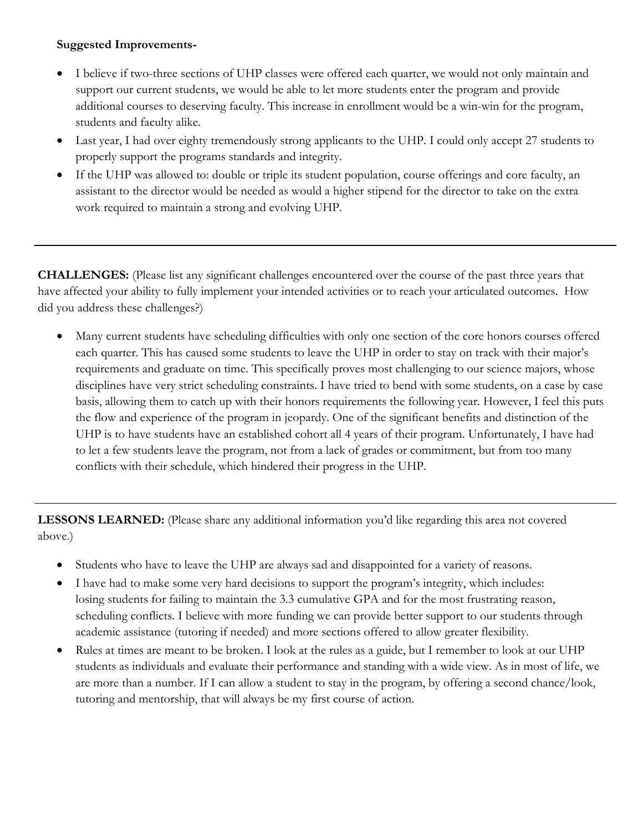#### **Suggested Improvements-**

- I believe if two-three sections of UHP classes were offered each quarter, we would not only maintain and support our current students, we would be able to let more students enter the program and provide additional courses to deserving faculty. This increase in enrollment would be a win-win for the program, students and faculty alike.
- Last year, I had over eighty tremendously strong applicants to the UHP. I could only accept 27 students to properly support the programs standards and integrity.
- If the UHP was allowed to: double or triple its student population, course offerings and core faculty, an assistant to the director would be needed as would a higher stipend for the director to take on the extra work required to maintain a strong and evolving UHP.

**CHALLENGES:** (Please list any significant challenges encountered over the course of the past three years that have affected your ability to fully implement your intended activities or to reach your articulated outcomes. How did you address these challenges?)

• Many current students have scheduling difficulties with only one section of the core honors courses offered each quarter. This has caused some students to leave the UHP in order to stay on track with their major's requirements and graduate on time. This specifically proves most challenging to our science majors, whose disciplines have very strict scheduling constraints. I have tried to bend with some students, on a case by case basis, allowing them to catch up with their honors requirements the following year. However, I feel this puts the flow and experience of the program in jeopardy. One of the significant benefits and distinction of the UHP is to have students have an established cohort all 4 years of their program. Unfortunately, I have had to let a few students leave the program, not from a lack of grades or commitment, but from too many conflicts with their schedule, which hindered their progress in the UHP.

LESSONS LEARNED: (Please share any additional information you'd like regarding this area not covered above.)

- Students who have to leave the UHP are always sad and disappointed for a variety of reasons.
- I have had to make some very hard decisions to support the program's integrity, which includes: losing students for failing to maintain the 3.3 cumulative GPA and for the most frustrating reason, scheduling conflicts. I believe with more funding we can provide better support to our students through academic assistance (tutoring if needed) and more sections offered to allow greater flexibility.
- Rules at times are meant to be broken. I look at the rules as a guide, but I remember to look at our UHP students as individuals and evaluate their performance and standing with a wide view. As in most of life, we are more than a number. If I can allow a student to stay in the program, by offering a second chance/look, tutoring and mentorship, that will always be my first course of action.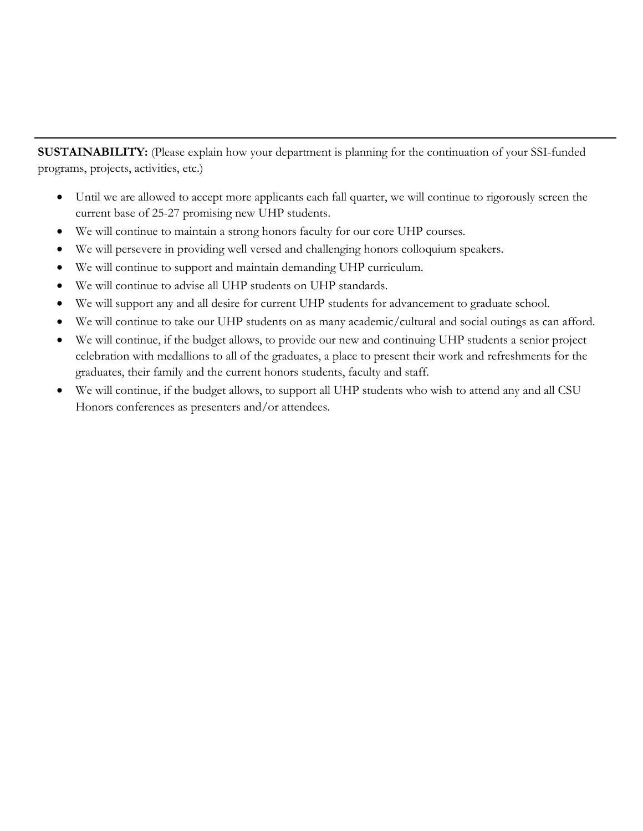**SUSTAINABILITY:** (Please explain how your department is planning for the continuation of your SSI-funded programs, projects, activities, etc.)

- Until we are allowed to accept more applicants each fall quarter, we will continue to rigorously screen the current base of 25-27 promising new UHP students.
- We will continue to maintain a strong honors faculty for our core UHP courses.
- We will persevere in providing well versed and challenging honors colloquium speakers.
- We will continue to support and maintain demanding UHP curriculum.
- We will continue to advise all UHP students on UHP standards.
- We will support any and all desire for current UHP students for advancement to graduate school.
- We will continue to take our UHP students on as many academic/cultural and social outings as can afford.
- We will continue, if the budget allows, to provide our new and continuing UHP students a senior project celebration with medallions to all of the graduates, a place to present their work and refreshments for the graduates, their family and the current honors students, faculty and staff.
- We will continue, if the budget allows, to support all UHP students who wish to attend any and all CSU Honors conferences as presenters and/or attendees.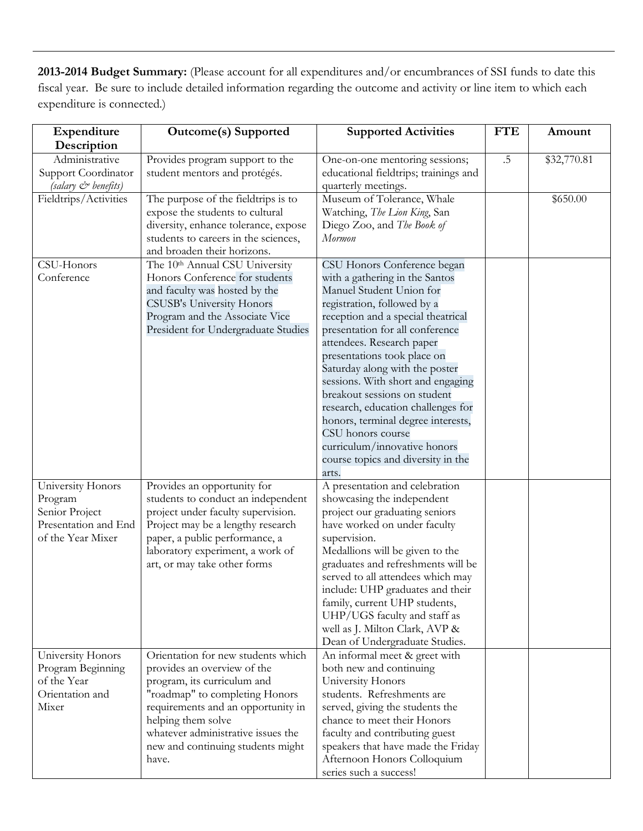**2013-2014 Budget Summary:** (Please account for all expenditures and/or encumbrances of SSI funds to date this fiscal year. Be sure to include detailed information regarding the outcome and activity or line item to which each expenditure is connected.)

| Expenditure           | <b>Outcome(s)</b> Supported                                           | <b>Supported Activities</b>                                       | <b>FTE</b> | Amount      |
|-----------------------|-----------------------------------------------------------------------|-------------------------------------------------------------------|------------|-------------|
| Description           |                                                                       |                                                                   |            |             |
| Administrative        | Provides program support to the                                       | One-on-one mentoring sessions;                                    | $.5\,$     | \$32,770.81 |
| Support Coordinator   | student mentors and protégés.                                         | educational fieldtrips; trainings and                             |            |             |
| (salary & benefits)   |                                                                       | quarterly meetings.                                               |            |             |
| Fieldtrips/Activities | The purpose of the fieldtrips is to                                   | Museum of Tolerance, Whale                                        |            | \$650.00    |
|                       | expose the students to cultural                                       | Watching, The Lion King, San                                      |            |             |
|                       | diversity, enhance tolerance, expose                                  | Diego Zoo, and The Book of                                        |            |             |
|                       | students to careers in the sciences,                                  | Mormon                                                            |            |             |
|                       | and broaden their horizons.                                           |                                                                   |            |             |
| CSU-Honors            | The 10th Annual CSU University                                        | CSU Honors Conference began                                       |            |             |
| Conference            | Honors Conference for students                                        | with a gathering in the Santos                                    |            |             |
|                       | and faculty was hosted by the                                         | Manuel Student Union for                                          |            |             |
|                       | <b>CSUSB's University Honors</b>                                      | registration, followed by a                                       |            |             |
|                       | Program and the Associate Vice<br>President for Undergraduate Studies | reception and a special theatrical                                |            |             |
|                       |                                                                       | presentation for all conference<br>attendees. Research paper      |            |             |
|                       |                                                                       | presentations took place on                                       |            |             |
|                       |                                                                       | Saturday along with the poster                                    |            |             |
|                       |                                                                       | sessions. With short and engaging                                 |            |             |
|                       |                                                                       | breakout sessions on student                                      |            |             |
|                       |                                                                       | research, education challenges for                                |            |             |
|                       |                                                                       | honors, terminal degree interests,                                |            |             |
|                       |                                                                       | CSU honors course                                                 |            |             |
|                       |                                                                       | curriculum/innovative honors                                      |            |             |
|                       |                                                                       | course topics and diversity in the                                |            |             |
|                       |                                                                       | arts.                                                             |            |             |
| University Honors     | Provides an opportunity for                                           | A presentation and celebration                                    |            |             |
| Program               | students to conduct an independent                                    | showcasing the independent                                        |            |             |
| Senior Project        | project under faculty supervision.                                    | project our graduating seniors                                    |            |             |
| Presentation and End  | Project may be a lengthy research                                     | have worked on under faculty                                      |            |             |
| of the Year Mixer     | paper, a public performance, a                                        | supervision.                                                      |            |             |
|                       | laboratory experiment, a work of                                      | Medallions will be given to the                                   |            |             |
|                       | art, or may take other forms                                          | graduates and refreshments will be                                |            |             |
|                       |                                                                       | served to all attendees which may                                 |            |             |
|                       |                                                                       | include: UHP graduates and their<br>family, current UHP students, |            |             |
|                       |                                                                       | UHP/UGS faculty and staff as                                      |            |             |
|                       |                                                                       | well as J. Milton Clark, AVP &                                    |            |             |
|                       |                                                                       | Dean of Undergraduate Studies.                                    |            |             |
| University Honors     | Orientation for new students which                                    | An informal meet & greet with                                     |            |             |
| Program Beginning     | provides an overview of the                                           | both new and continuing                                           |            |             |
| of the Year           | program, its curriculum and                                           | University Honors                                                 |            |             |
| Orientation and       | "roadmap" to completing Honors                                        | students. Refreshments are                                        |            |             |
| Mixer                 | requirements and an opportunity in                                    | served, giving the students the                                   |            |             |
|                       | helping them solve                                                    | chance to meet their Honors                                       |            |             |
|                       | whatever administrative issues the                                    | faculty and contributing guest                                    |            |             |
|                       | new and continuing students might                                     | speakers that have made the Friday                                |            |             |
|                       | have.                                                                 | Afternoon Honors Colloquium                                       |            |             |
|                       |                                                                       | series such a success!                                            |            |             |